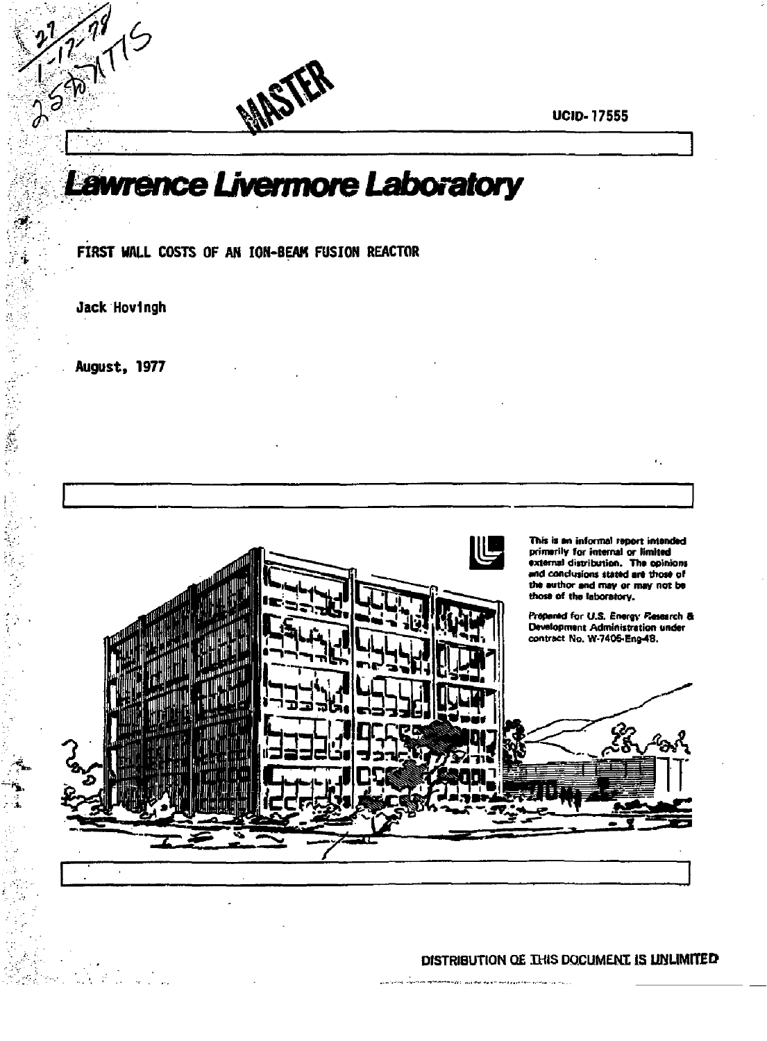**UCID-17555** 

ĸ.

# Lawrence Livermore Laboratory

FIRST WALL COSTS OF AN ION-BEAM FUSION REACTOR

Jack Hovingh

250

Ś.

Î,

Ŷ,

š

August, 1977

 $\mathbb{R}^n \times \mathbb{R}^n$ 



# DISTRIBUTION OF THIS DOCUMENT IS UNLIMITED

ili.<br>Ing siyoshek melekerren ozar, wakima ing simileler ayar resi autogo sa siya. I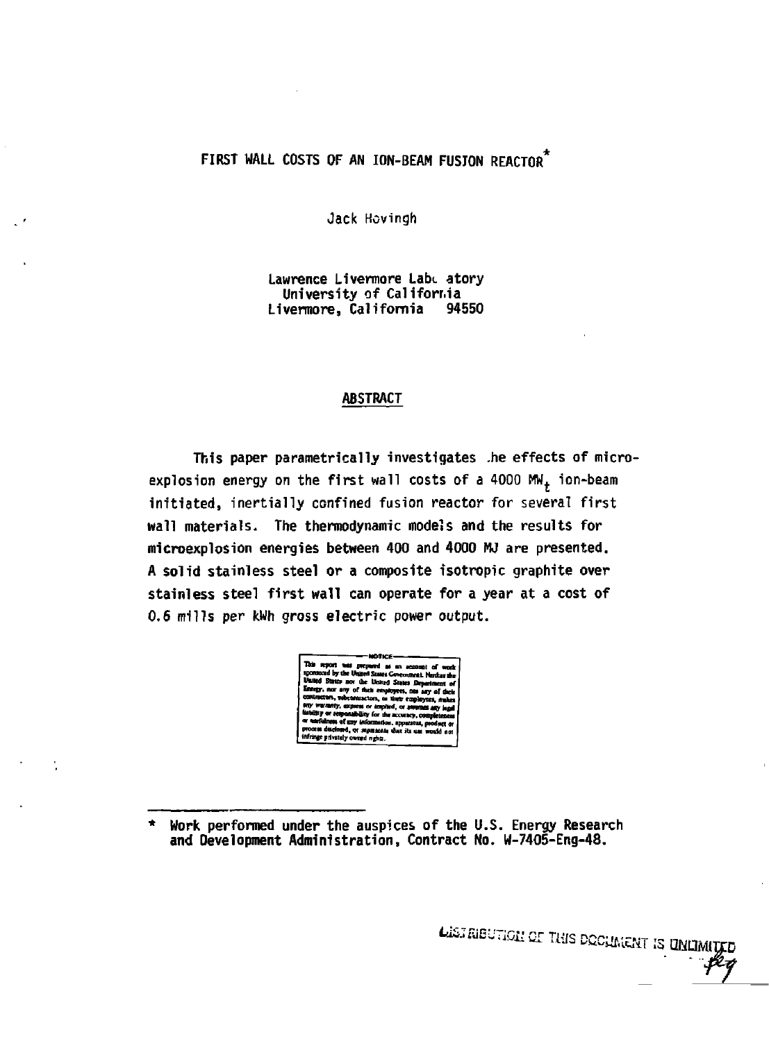# FIRST WALL COSTS OF AN ION-BEAM FUSJON REACTOR

Jack Hovingh

Lawrence Livermore Lab. atory University of California Livermore, California 94550

# **ABSTRACT**

This paper parametrically investigates .he effects of microexplosion energy on the first wall costs of a 4000 MW<sub>+</sub> ion-beam initiated, inertially confined fusion reactor for several first wall materials. The thermodynamic models and the results for microexplosion energies between 400 and 4000 MJ are presented. A solid stainless steel or a composite isotropic graphite over stainless steel first wall can operate for a year at a cost of 0.6 mills per kWh gross electric power output.



LISTRIBUTION OF THIS DOCUMENT IS UNLIMIT

Work performed under the auspices of the U.S. Energy Research and Development Administration, Contract No. W-7405-Eng-48.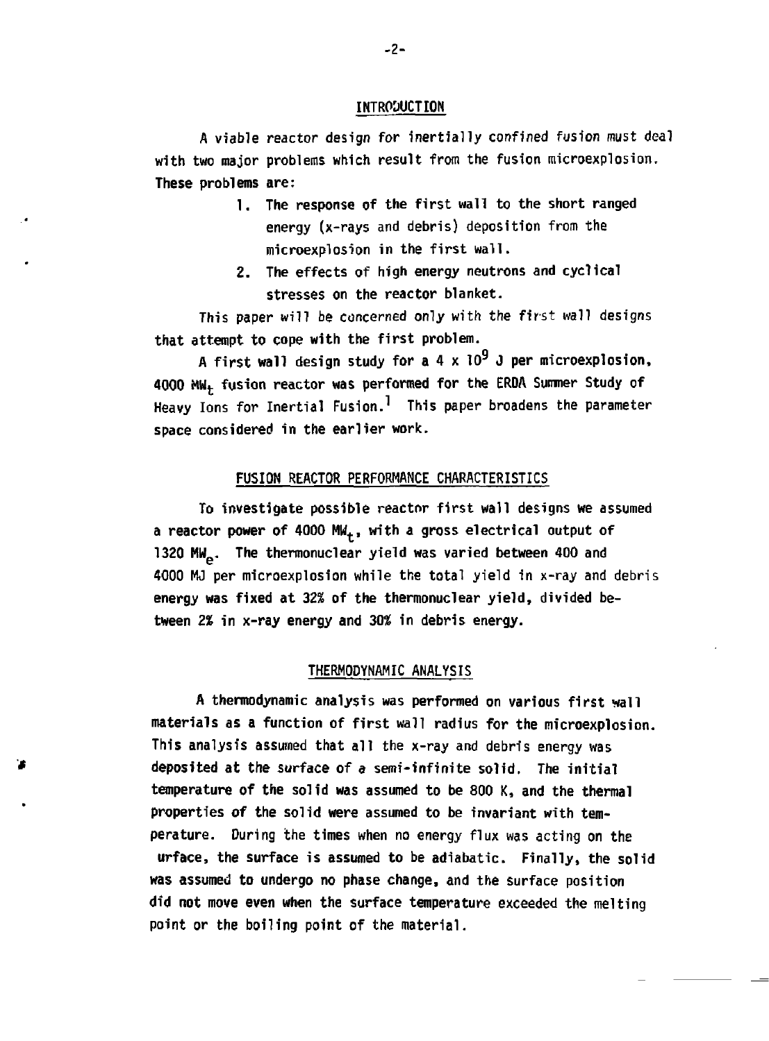## **INTROUUCTION**

**A viable reactor design for inertially confined fusion must deal with two major problems which result from the fusion microexplosion. These problems are:** 

- **1. The response of the first wall to the short ranged energy (x-rays and debris) deposition from the microexplosion in the first wall.**
- **2. The effects of high energy neutrons and cyclical stresses on the reactor blanket.**

**This paper will be concerned only with the first wall designs that attempt to cope with the first problem.** 

**A first wall design study for a 4 x 10<sup>9</sup> J per microexplosion, 4000 MWt fusion reactor was performed for the ERDA Summer Study of Heavy Ions for Inertial Fusion.<sup>1</sup> This paper broadens the parameter space considered in the earlier work.** 

#### **FUSION REACTOR PERFORMANCE CHARACTERISTICS**

**To investigate possible reactor first wall designs we assumed a reactor power of 4000 MW<sup>t</sup> , with a gross electrical output of 1320 MM . The thermonuclear yield was varied between 400 and 4000 MJ per microexplosion while the total yield in x-ray and debris energy was fixed at 32% of the thermonuclear yield, divided between** *2%* **in x-ray energy and 30% in debris energy.** 

# **THERMODYNAMIC ANALYSIS**

**A thermodynamic analysis was performed on various first wall materials as a function of first wall radius for the microexplosion. This analysis assumed that all the x-ray and debris energy was deposited at the surface of a semi-infinite solid. The initial temperature of the solid was assumed to be 800 K, and the thermal properties of the solid were assumed to be invariant with temperature. During the times when no energy flux was acting on the urface, the surface is assumed to be adiabatic. Finally, the solid was assumed to undergo no phase change, and the surface position did not move even when the surface temperature exceeded the melting point or the boiling point of the material.**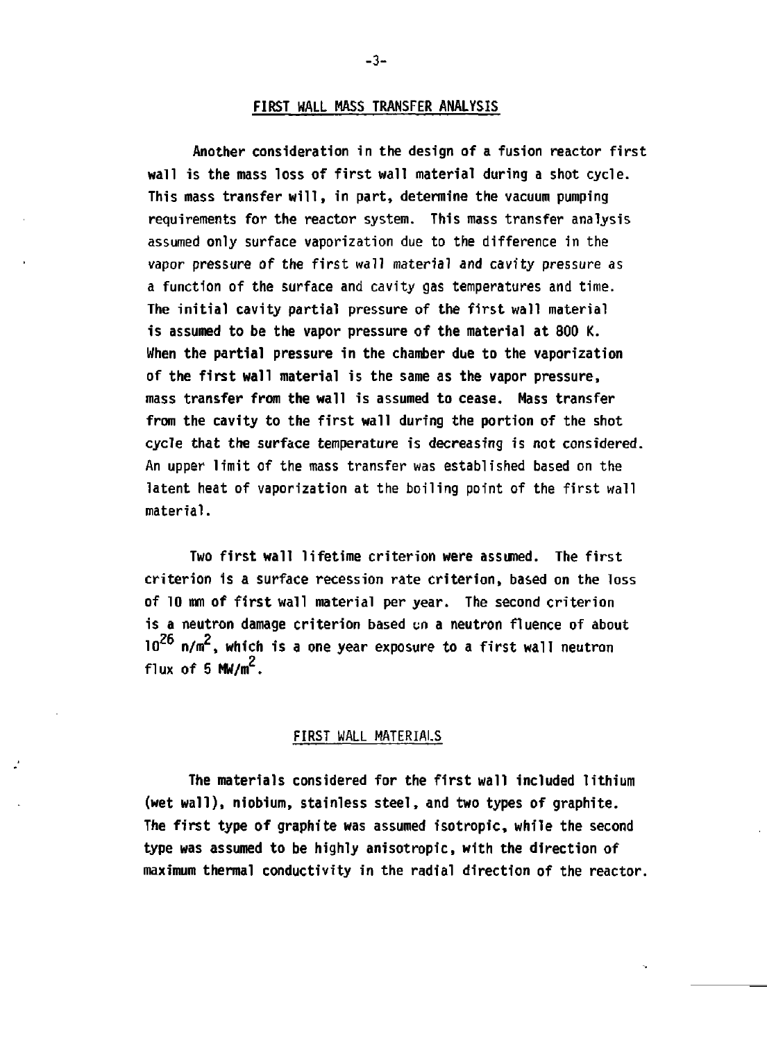#### **FIRST HALL MASS TRANSFER ANALYSIS**

**Another consideration in the design of a fusion reactor first wall is the mass loss of first wall material during a shot cycle. This mass transfer will, in part, determine the vacuum pumping requirements for the reactor system. This mass transfer analysis assumed only surface vaporization due to the difference in the vapor pressure of the first wall material and cavity pressure as a function of the surface and cavity gas temperatures and time. The initial cavity partial pressure of the first wall material is assumed to be the vapor pressure of the material at 800 K. When the partial pressure in the chamber due to the vaporization of the first wall material is the same as the vapor pressure, mass transfer from the wall is assumed to cease. Mass transfer from the cavity to the first wall during the portion of the shot cycle that the surface temperature is decreasing is not considered. An upper limit of the mass transfer was established based on the latent heat of vaporization at the boiling point of the first wall material.** 

**Two first wall lifetime criterion were assumed. The first criterion is a surface recession rate criterion, based on the loss of 10 mm of first wall material per year. The second criterion is a neutron damage criterion based un a neutron fluence of about**  10<sup>26</sup> n/m<sup>2</sup>, which is a one year exposure to a first wall neutron **flux of 5 MW/m<sup>2</sup> .** 

#### **FIRST WALL MATERIALS**

**The materials considered for the first wall included lithium (wet wall), niobium, stainless steel, and two types of graphite. The first type of graphite was assumed isotropic, while the second type was assumed to be highly anisotropic, with the direction of maximum thermal conductivity in the radial direction of the reactor.** 

**-3-**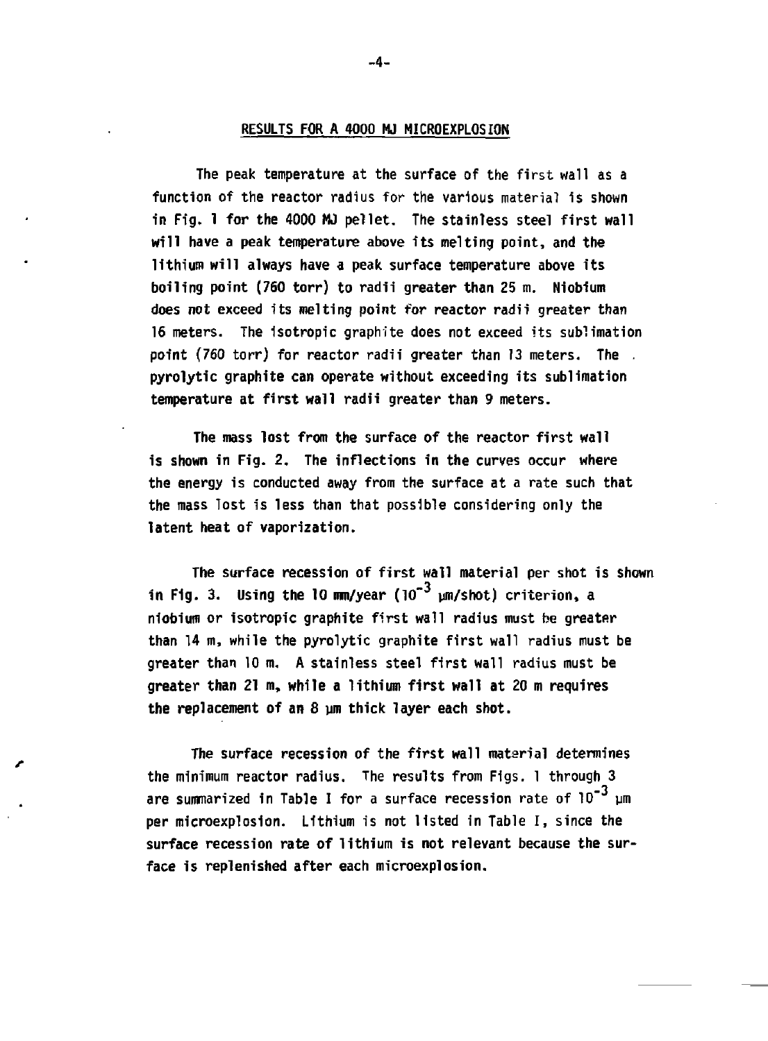## **RESULTS FOR A 4000 MJ MICROEXPLOSION**

**The peak temperature at the surface of the first wall as a function of the reactor radius for the various material is shown in Fig, 1 for the 4000 MJ pellet. The stainless steel first wall will have a peak temperature above its melting point, and the lithium will always have a peak surface temperature above its boiling point (760 torr) to radii greater than 25 m. Niobium does not exceed its melting point for reactor radii greater than 16 meters. The isotropic graphite does not exceed its sublimation point (760 torr) for reactor radii greater than 13 meters. The . pyrolytic graphite can operate without exceeding its sublimation temperature at first wall radii greater than 9 meters.** 

**The mass lost from the surface of the reactor first wall is shown in Fig. 2. The inflections in the curves occur where the energy is conducted away from the surface at a rate such that the mass Tost is less than that possible considering only the latent heat of vaporization.** 

**The surface recession of first wall material per shot is shown**  in Fig. 3. Using the 10 mm/year (10<sup>-3</sup> µm/shot) criterion, a **niobium or isotropic graphite first wall radius must be greater than 14 m, while the pyrolytic graphite first wall radius must be greater than 10 m. A stainless steel first wall radius must be greater than 21 m, while a lithium first wall at 20 m requires**  the replacement of an 8 um thick layer each shot.

**The surface recession of the first wall material determines the minimum reactor radius. The results from Figs. 1 through 3 are summarized in Table I for a surface recession rate of 10<sup>-3</sup> μm per microexplosion. Lithium is not listed in Table I, since the surface recession rate of lithium is not relevant because the surface is replenished after each microexplosion.** 

**\_4-**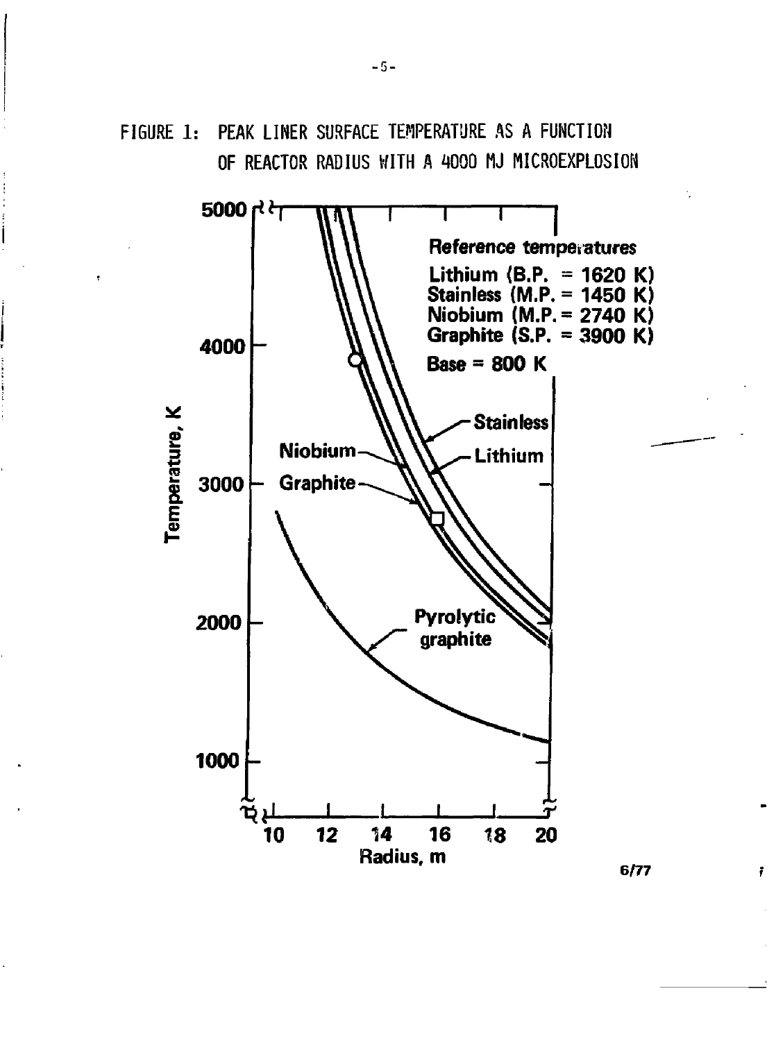FIGURE 1: PEAK LINER SURFACE TEMPERATURE AS A FUNCTION OF REACTOR RADIUS WITH A 4000 MJ MICROEXPLOSION



**6/77** 

ř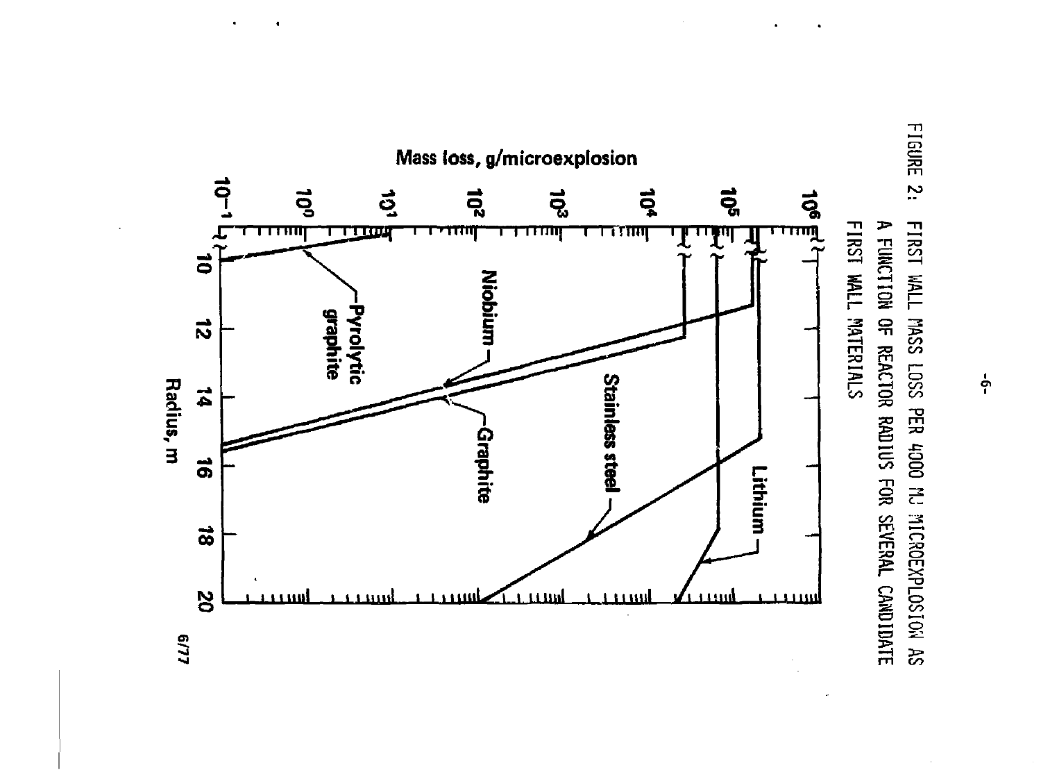



မှု

LL/9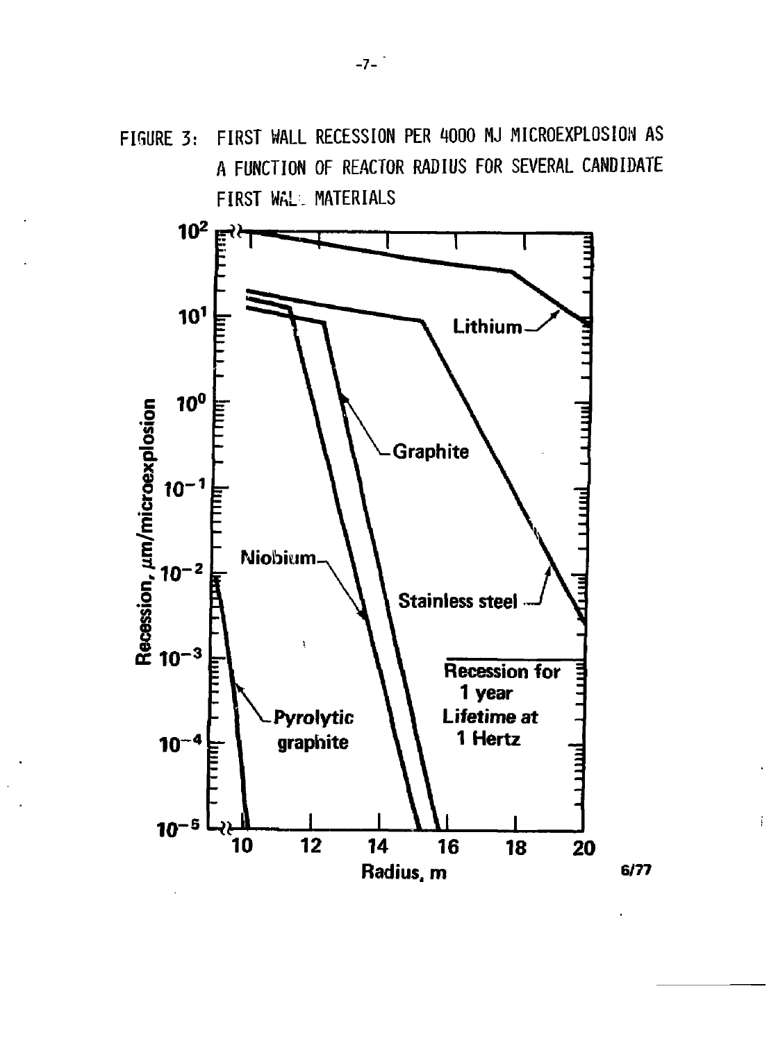

÷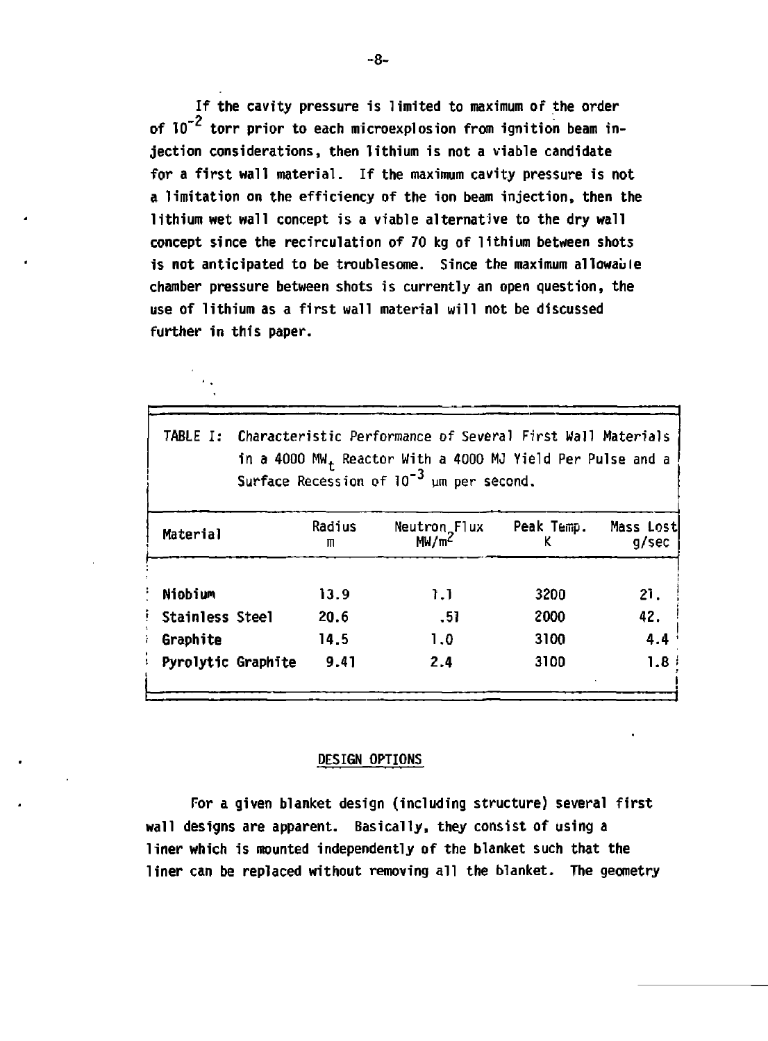**If the cavity pressure is limited to maximum or the order**  of 10<sup>-2</sup> torr prior to each microexplosion from ignition beam in**jection considerations, then lithium is not a viable candidate for a first wall material. If the maximum cavity pressure is not a limitation on the efficiency of the ion beam injection, then the lithium wet wall concept is a viable alternative to the dry wall concept since the recirculation of 70 kg of lithium between shots**  is not anticipated to be troublesome. Since the maximum allowable **chamber pressure between shots is currently an open question, the use of lithium as a first wall material will not be discussed further in this paper.** 

| TABLE I:               | Characteristic Performance of Several First Wall Materials<br>in a 4000 MW <sub>+</sub> Reactor With a 4000 MJ Yield Per Pulse and a<br>Surface Recession of $10^{-3}$ um per second. |             |                                   |            |                    |  |  |
|------------------------|---------------------------------------------------------------------------------------------------------------------------------------------------------------------------------------|-------------|-----------------------------------|------------|--------------------|--|--|
| Material               |                                                                                                                                                                                       | Radius<br>m | Neutron Flux<br>MW/m <sup>2</sup> | Peak Temp. | Mass Lost<br>g/sec |  |  |
| Niobium                |                                                                                                                                                                                       | 13.9        | 1.1                               | 3200       | 21.                |  |  |
| <b>Stainless Steel</b> |                                                                                                                                                                                       | 20.6        | - 51                              | 2000       | 42.                |  |  |
| Graphite               |                                                                                                                                                                                       | 14.5        | 1.0                               | 3100       | 4.4                |  |  |
|                        | Pyrolytic Graphite                                                                                                                                                                    | 9.41        | 2.4                               | 3100       | 1.8 <sup>1</sup>   |  |  |

#### **DESIGN OPTIONS**

**For a given blanket design (including structure) several first wall designs are apparent. Basically, they consist of using a liner which is mounted independently of the blanket such that the liner can be replaced without removing all the blanket. The geometry** 

**-8-**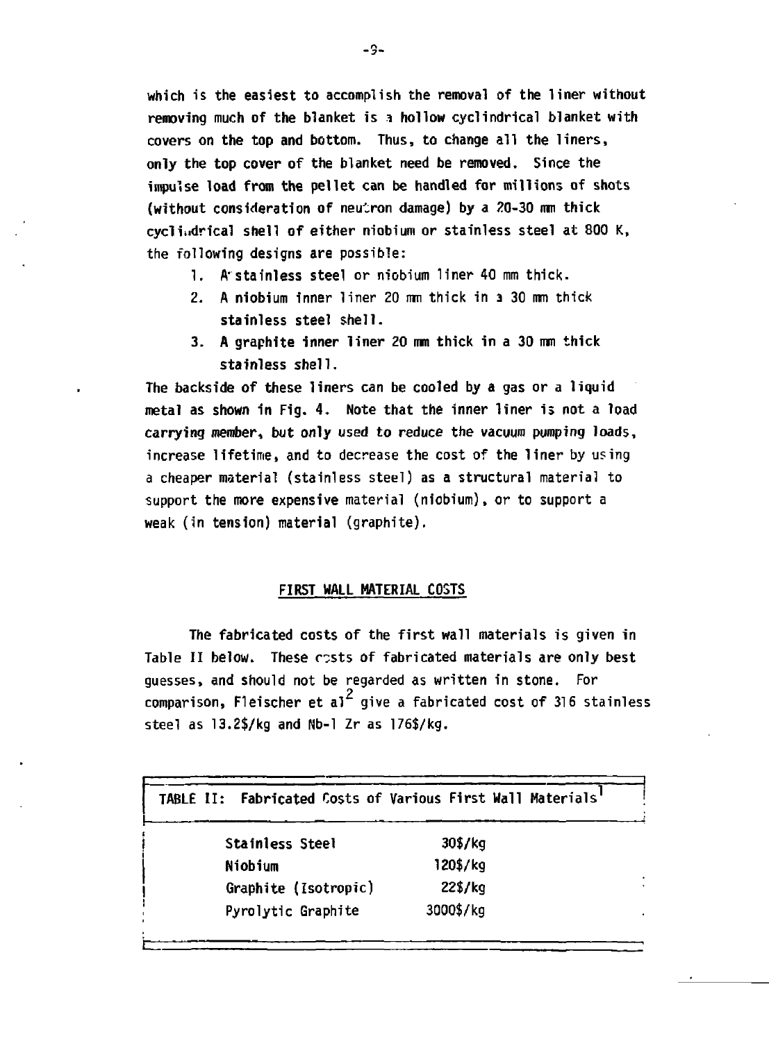**which is the easiest to accomplish the removal of the liner without removing much of the blanket is i hollow cyclindrical blanket with covers on the top and bottom. Thus, to change all the liners, only the top cover of the blanket need be removed. Since the impulse load from the pellet can be handled for millions of shots**  (without consideration of neutron damage) by a 20-30 mm thick **cycliudrical shell of either niobium or stainless steel at 800 K, the following designs are possible:** 

- **1. A'stainless steel or niobium liner 40 mm thick.**
- **2. A niobium inner liner 20 mm thick in 3 30 mm thick stainless steel shell.**
- **3. A graphite inner liner 20 mm thick in a 30 mm thick stainless shell.**

**The backside of these liners can be cooled by a gas or a liquid metal as shown in Fig. 4. Note that the inner liner is not a load carrying member, but only used to reduce the vacuum pumping loads, increase lifetime, and to decrease the cost of the liner by using a cheaper material (stainless steel) as a structural material to support the more expensive material (niobium), or to support a weak (in tension) material (graphite).** 

# **FIRST WALL MATERIAL COSTS**

**The fabricated costs of the first wall materials is given in Table II below. These costs of fabricated materials are only best guesses, and should not be regarded as written in stone. For 2 comparison, Fleischer et al give a fabricated cost of 316 stainless steel as 13.2\$/kg and Nb-1 Zr as 176\$/kg.** 

| TABLE II: Fabricated Costs of Various First Wall Materials |           |
|------------------------------------------------------------|-----------|
| Stainless Steel                                            | 30\$/kg   |
| Niobium                                                    | 120\$/kg  |
| Graphite (Isotropic)                                       | 22\$/kg   |
| Pyrolytic Graphite                                         | 3000\$/kg |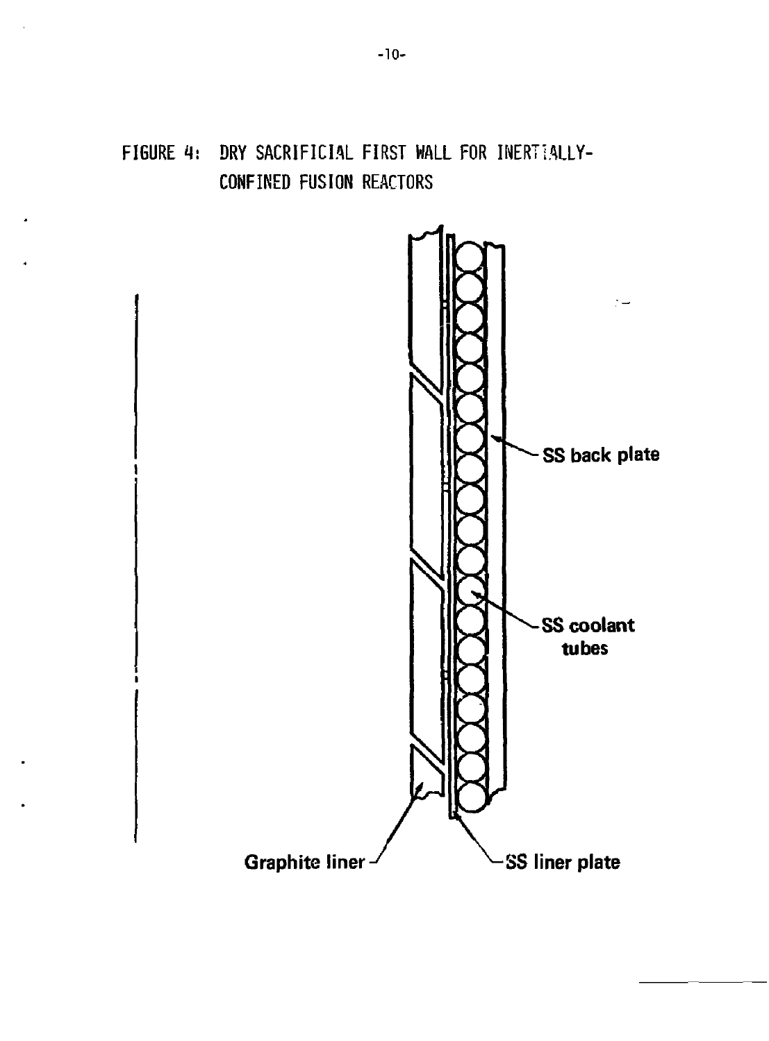# **FIGURE 4: DRY SACRIFICIAL FIRST WALL FOR INERTIALLY-CONFINED FUSION REACTORS**

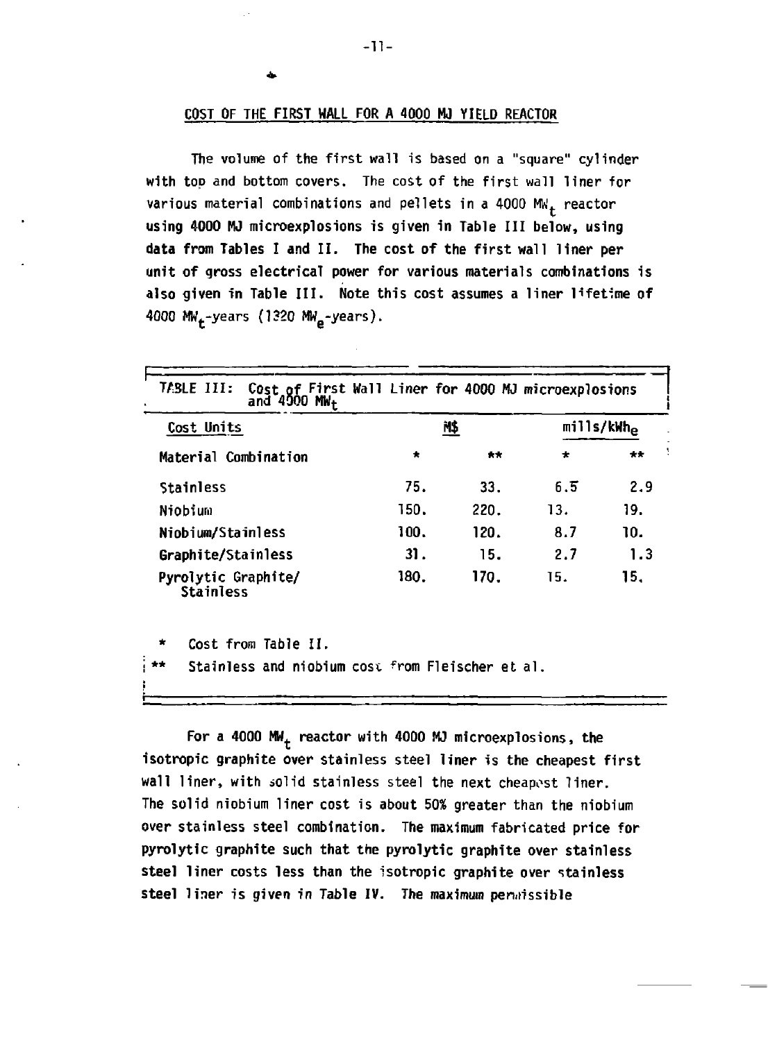#### **COST OF THE FIRST WALL FOR A 4000 MJ YIELD REACTOR**

**The volume of the first wall is based on a "square" cylinder with top and bottom covers. The cost of the first wall liner for various material combinations and pellets in a 4000 MW. reactor using 4000 MJ microexplosions is given in Table III below, using data from Tables I and II. The cost of the first wall liner per unit of gross electrical power for various materials combinations is also given in Table III. Note this cost assumes a liner lifetime of 4000 MIL -years (1320 MW -years).** 

| Cost Units                                             |                      | N\$  |         | mills/kWh <sub>e</sub> |
|--------------------------------------------------------|----------------------|------|---------|------------------------|
| Material Combination                                   | $\ddot{\phantom{a}}$ | 大大   | $\star$ | $+ +$                  |
| Stainless                                              | 75.                  | 33.  | 6.5     | 2.9                    |
| Niobium                                                | 150.                 | 220. | 13.     | 19.                    |
| Niobium/Stainless                                      | 100.                 | 120. | 8.7     | 10.                    |
| Graphite/Stainless                                     | 31.                  | 15.  | 2.7     | 1.3                    |
| Pyrolytic Graphite/<br><b>Stainless</b>                | 180.                 | 170. | 15.     | 15.                    |
| $\star$<br>Cost from Table II.                         |                      |      |         |                        |
| **<br>Stainless and niobium cost from Fleischer et al. |                      |      |         |                        |

**For a 4000 MW. reactor with 4000 MJ microexplosions, the isotropic graphite over stainless steel liner is the cheapest first wall liner, with solid stainless steel the next cheapest liner. The solid niobium liner cost is about 50% greater than the niobium over stainless steel combination. The maximum fabricated price for pyrolytic graphite such that the pyrolytic graphite over stainless steel liner costs less than the isotropic graphite over stainless**  steel liner is given in Table IV. The maximum permissible

-n-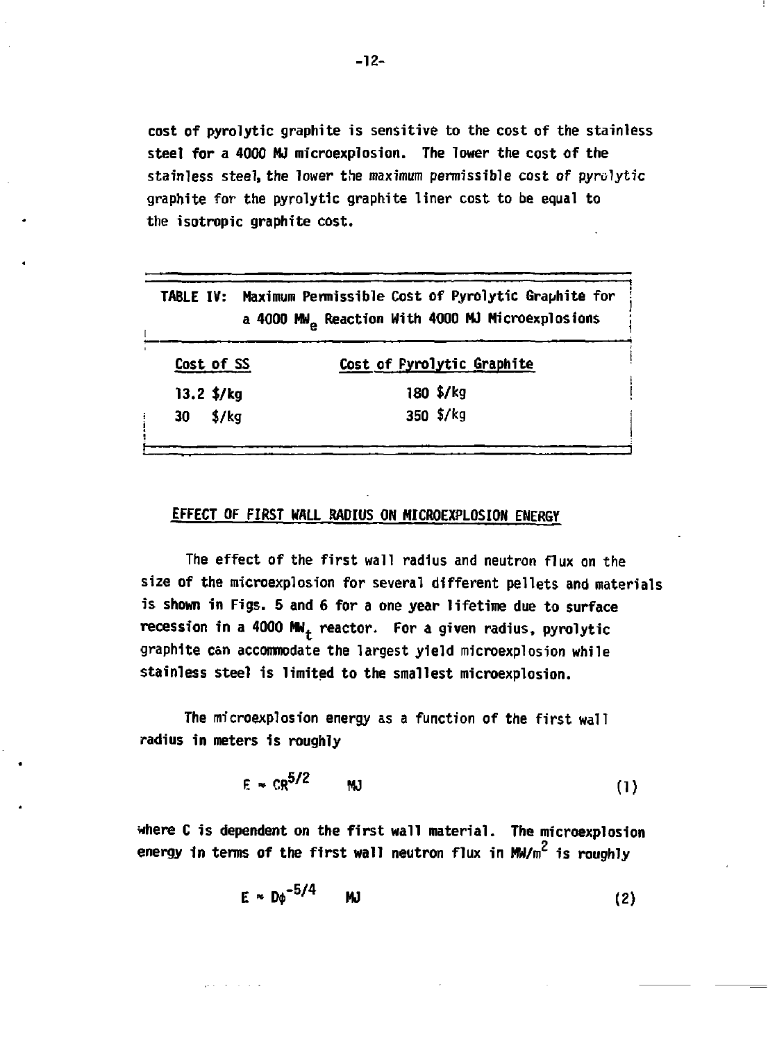**cost of pyrolytic graphite is sensitive to the cost of the stainless steel for a 4000 MJ microexplosion. The lower the cost of the stainless steel, the lower the maximum permissible cost of pyrolytic graphite for the pyrolytic graphite liner cost to be equal to the isotropic graphite cost.** 

|                                 | TABLE IV: Maximum Permissible Cost of Pyrolytic Graphite for<br>a 4000 MW <sub>a</sub> Reaction With 4000 MJ Microexplosions |
|---------------------------------|------------------------------------------------------------------------------------------------------------------------------|
| Cost of SS                      | Cost of Pyrolytic Graphite                                                                                                   |
| $13.2$ \$/kg                    | $180 \frac{5}{kg}$                                                                                                           |
| $30 \frac{\text{S}}{\text{kg}}$ | 350 \$/kg                                                                                                                    |

# **EFFECT OF FIRST WALL RADIUS ON MICROEXPLOSION ENERGY**

**The effect of the first wall radius and neutron flux on the size of the microexplosion for several different pellets and materials is shown in Figs. 5 and 6 for a one year lifetime due to surface recession in a 4000 MWt reactor. For a given radius, pyrolytic graphite can accommodate the largest yield microexplosion while stainless steel is limited to the smallest microexplosion.** 

**The microexplosion energy as a function of the first wall radius in meters is roughly** 

 $-$ 

and the company

$$
E \sim CR^{5/2} \qquad \text{MJ} \tag{1}
$$

**where C is dependent on the first wall material. The microexplosion energy in terms of the first wall neutron flux in Mw/m<sup>2</sup> is roughly** 

$$
E \approx D\phi^{-5/4} \qquad \text{MJ} \tag{2}
$$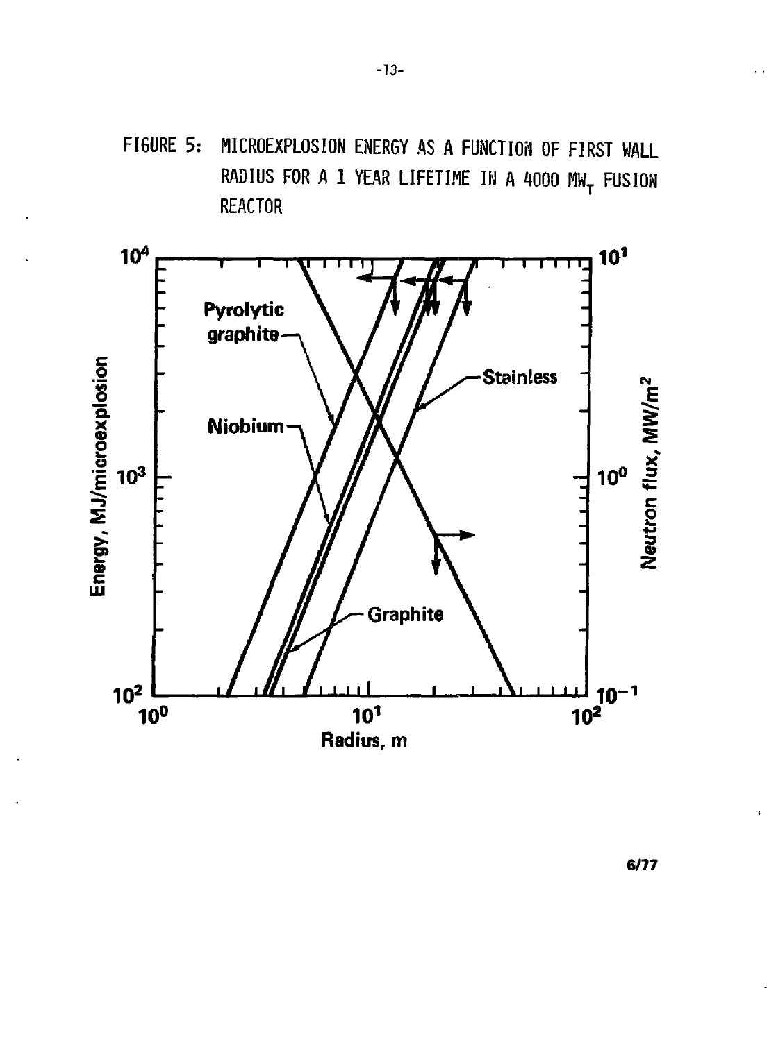



 $6/77$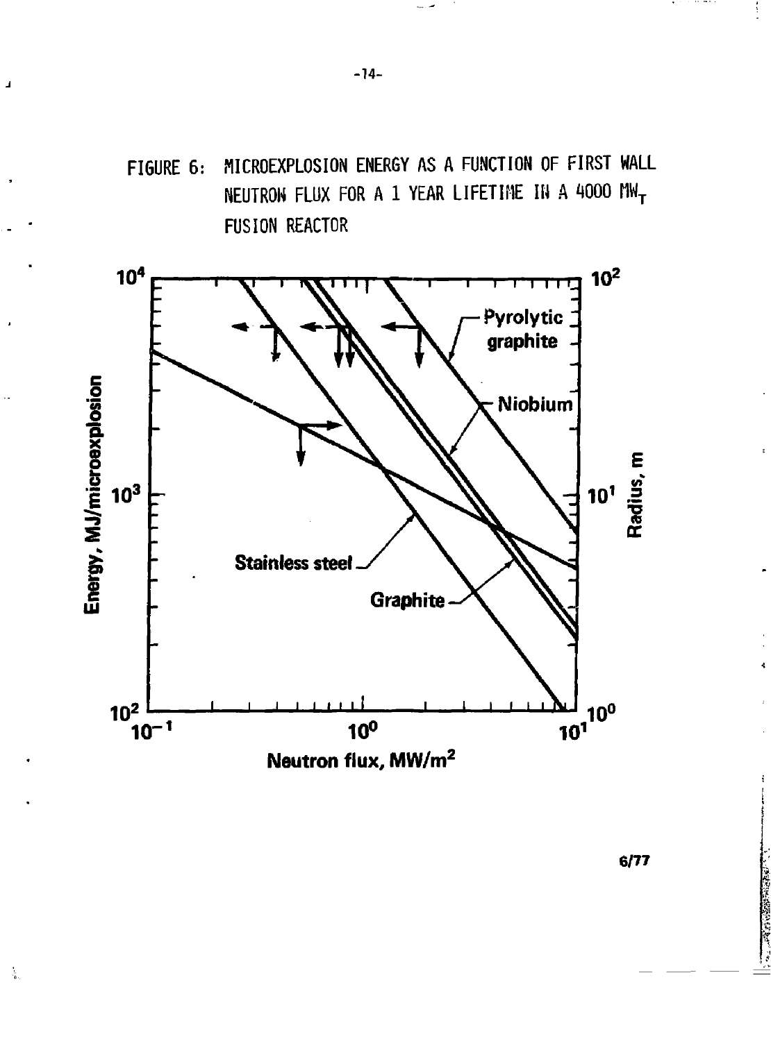





 $\frac{1}{2}$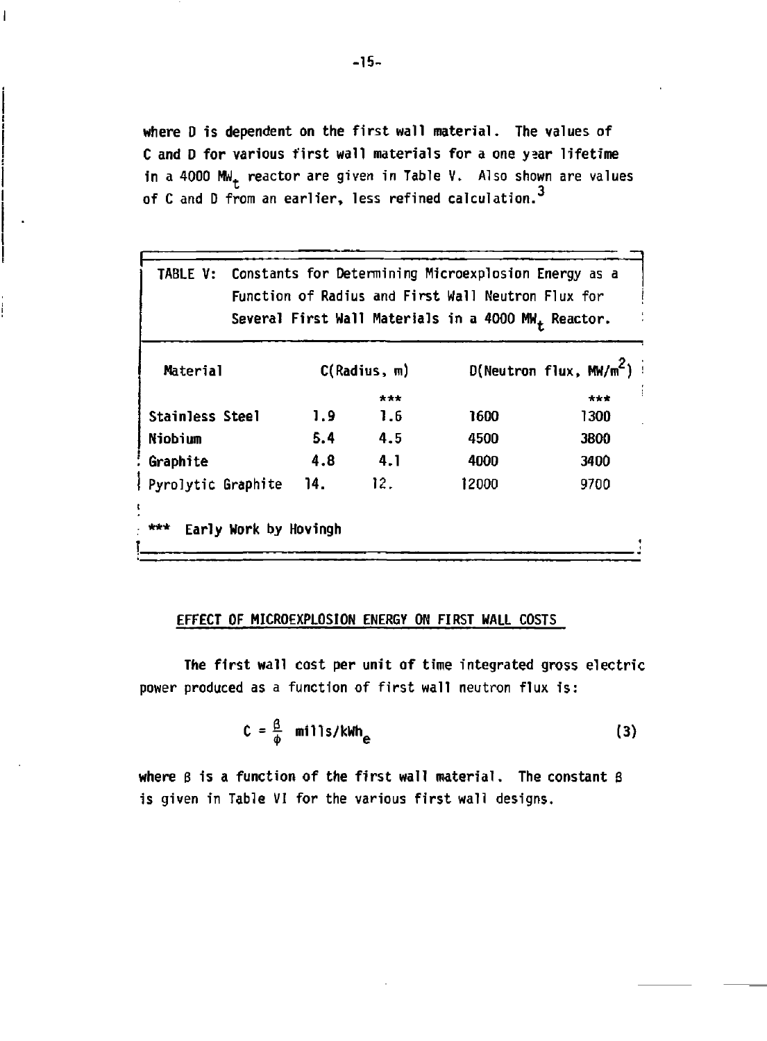**where D is dependent on the first wall material. The values of C and D for various first wall materials for a one ysar lifetime in a 4000 MWt reactor are given in Table V. Also shown are values 3 of C and D from an earlier, less refined calculation.** 

| TABLE V:           |     |              | Constants for Determining Microexplosion Energy as a<br>Function of Radius and First Wall Neutron Flux for<br>Several First Wall Materials in a 4000 MW <sub>+</sub> Reactor. |                              |
|--------------------|-----|--------------|-------------------------------------------------------------------------------------------------------------------------------------------------------------------------------|------------------------------|
| Material           |     | C(Radius, m) |                                                                                                                                                                               | $D(N$ eutron flux, $MW/m^2)$ |
|                    |     | ***          |                                                                                                                                                                               | ***                          |
| Stainless Steel    | 1.9 | 1.6          | 1600                                                                                                                                                                          | 1300                         |
| Niobium            | 5.4 | 4.5          | 4500                                                                                                                                                                          | 3800                         |
| Graphite           | 4.8 | 4.1          | 4000                                                                                                                                                                          | 3400                         |
| Pyrolytic Graphite | 14. | 12.          | 12000                                                                                                                                                                         | 9700                         |

## **EFFECT OF MICROEXPLOSION ENERGY ON FIRST WALL COSTS**

**The first wall cost per unit of time integrated gross electric power produced as a function of first wall neutron flux is:** 

$$
C = \frac{\beta}{\phi} \text{ mi11s/kWh}_{e}
$$
 (3)

**where B is a function of the first wall material. The constant 8 is given in Table VI for the various first wall designs.** 

T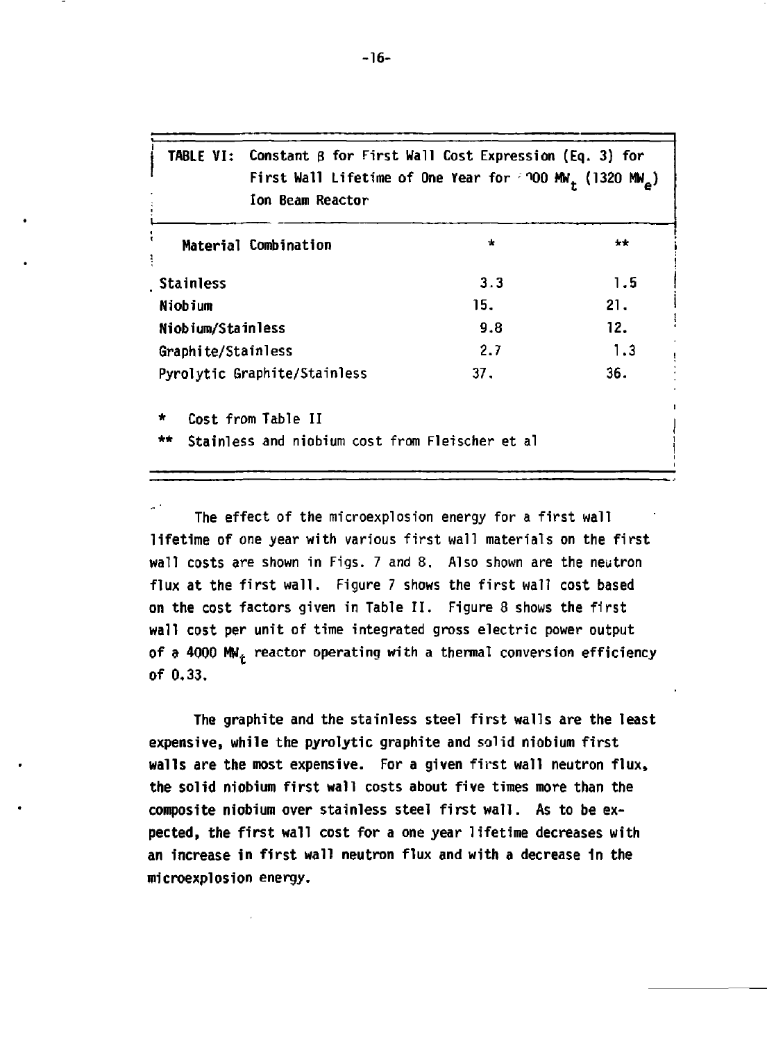| TABLE VI: Constant $\beta$ for First Wall Cost Expression (Eq. 3) for<br>First Wall Lifetime of One Year for $100$ MW <sub>+</sub> (1320 MW <sub>e</sub> )<br>Ion Beam Reactor |       |       |
|--------------------------------------------------------------------------------------------------------------------------------------------------------------------------------|-------|-------|
| Material Combination                                                                                                                                                           | $\pm$ | $+ +$ |
| Stainless                                                                                                                                                                      | 3.3   | 1.5   |
| Niobium                                                                                                                                                                        | 15.   | 21.   |
| Niobium/Stainless                                                                                                                                                              | 9.8   | 12.   |
| Graphite/Stainless                                                                                                                                                             | 2.7   | 1.3   |
| Pyrolytic Graphite/Stainless                                                                                                                                                   | 37.   | 36.   |
| Cost from Table II<br>*                                                                                                                                                        |       |       |
| Stainless and niobium cost from Fleischer et al<br>**                                                                                                                          |       |       |

**The effect of the microexplosion energy for a first wall lifetime of one year with various first wall materials on the first wall costs are shown in Figs. 7 and 8, Also shown are the neutron flux at the first wall. Figure 7 shows the first wall cost based on the cost factors given in Table II. Figure 8 shows the first wall cost per unit of time integrated gross electric power output of** *9* **4000 M\*L reactor operating with a thermal conversion efficiency of 0.33.** 

**The graphite and the stainless steel first walls are the least expensive, while the pyrolytic graphite and solid niobium first walls are the most expensive. For a given first wall neutron flux, the solid niobium first wall costs about five times more than the composite niobium over stainless steel first wall. As to be expected, the first wall cost for a one year lifetime decreases with an increase in first wall neutron flux and with a decrease in the microexplosion energy.** 

-16-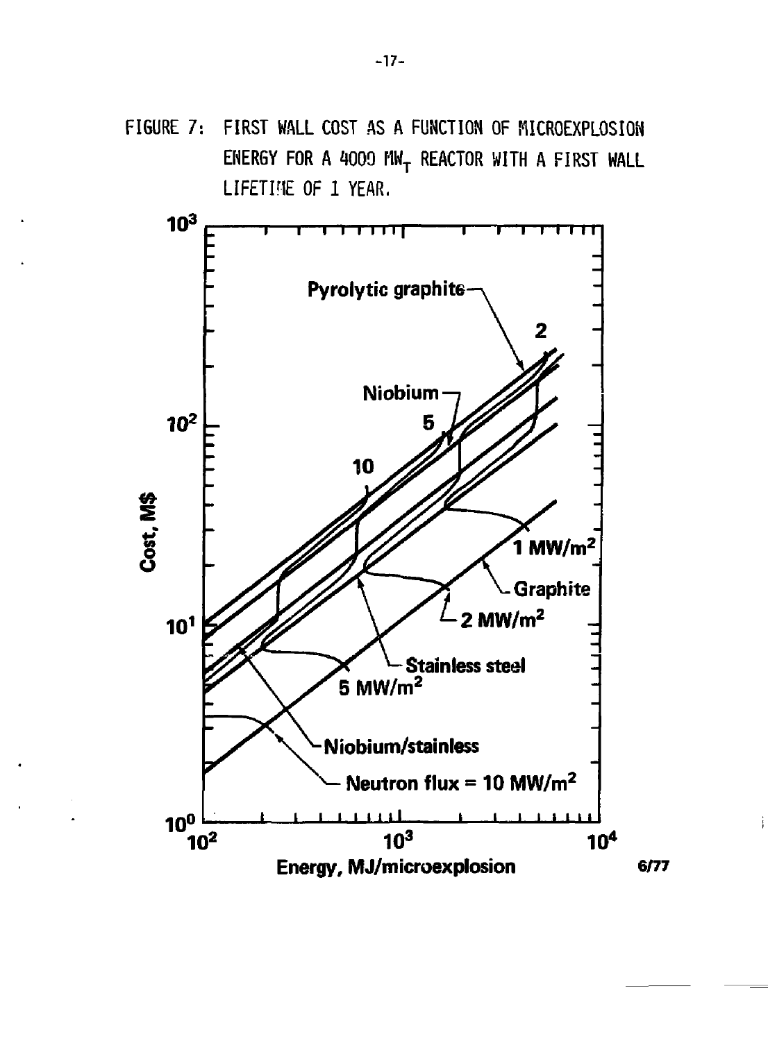FIGURE 7: FIRST WALL COST AS A FUNCTION OF MICROEXPLOSION ENERGY FOR A 4009 MW<sub>T</sub> REACTOR WITH A FIRST WALL LIFETINE OF 1 YEAR.

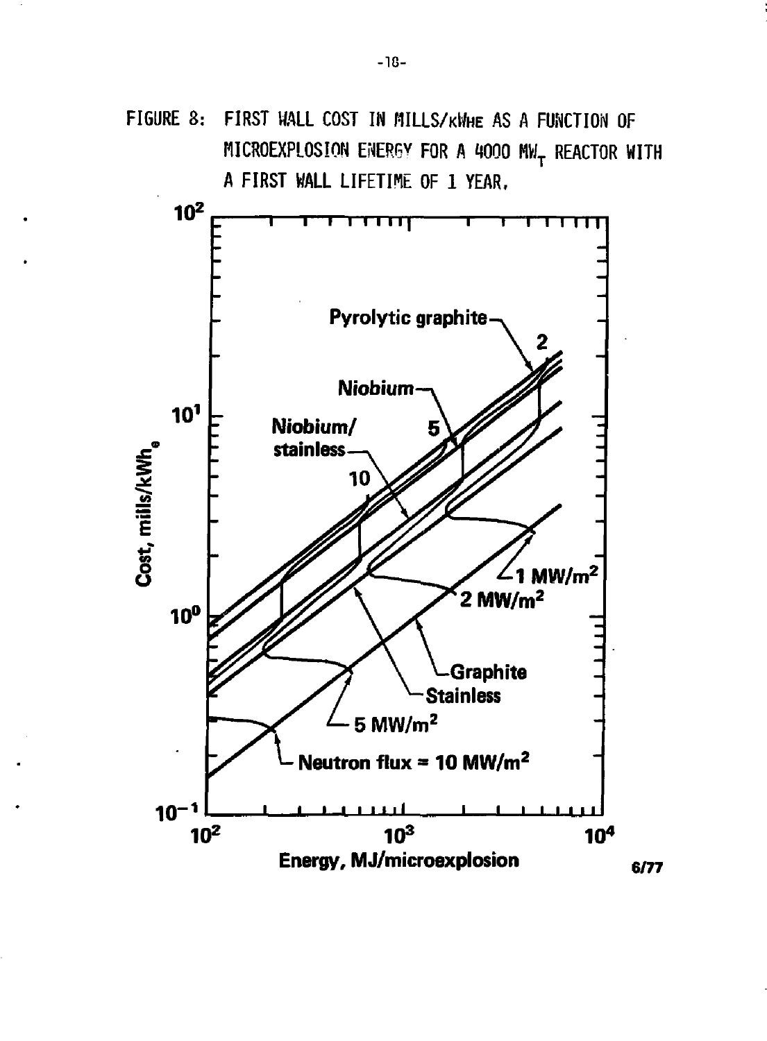FIGURE 8: FIRST WALL COST IN MILLS/KWHE AS A FUNCTION OF MICROEXPLOSION ENERGY FOR A 4000 MW<sub>T</sub> REACTOR WITH A FIRST WALL LIFETIME OF 1 YEAR.

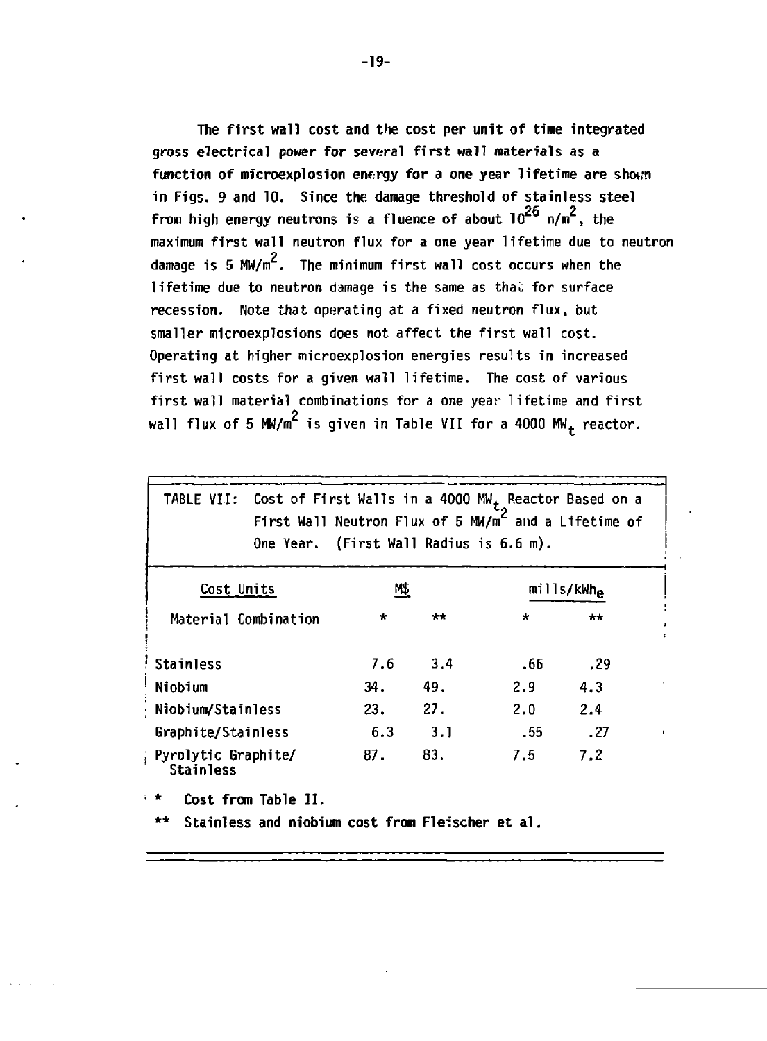**The first wall cost and the cost per unit of time integrated gross electrical power for several first wall materials as a function of microexplosion energy for a one year lifetime are shown in Figs. 9 and 10. Since the damage threshold of stainless steel**  from high energy neutrons is a fluence of about  $10^{26}$  n/m<sup>2</sup>, the **maximum first wall neutron flux for a one year lifetime due to neutron**  damage is 5 MW/m<sup>2</sup>. The minimum first wall cost occurs when the **lifetime due to neutron damage is the same as thai: for surface recession. Note that operating at a fixed neutron flux, but smaller microexplosions does not affect the first wall cost. Operating at higher microexplosion energies results in increased first wall costs for a given wall lifetime. The cost of various first wall material combinations for a one year lifetime and first 2** wall flux of 5 MW/m is given in Table VII for a 4000 MW<sub>t</sub> reactor.

| TABLE VII:                                | One Year. (First Wall Radius is 6.6 m). |         |       | Cost of First Walls in a 4000 $MW_{+}$ Reactor Based on a<br>First Wall Neutron Flux of 5 MW/m <sup>L</sup> and a Lifetime of |                        |                          |
|-------------------------------------------|-----------------------------------------|---------|-------|-------------------------------------------------------------------------------------------------------------------------------|------------------------|--------------------------|
| Cost Units                                |                                         | M\$     |       |                                                                                                                               | mills/kWh <sub>e</sub> |                          |
| Material Combination                      |                                         | $\star$ | $***$ | $\star$                                                                                                                       | $+ +$                  |                          |
| <b>Stainless</b>                          |                                         | 7.6     | 3.4   | .66                                                                                                                           | . 29                   |                          |
| Niobium                                   |                                         | 34.     | 49.   | 2.9                                                                                                                           | 4.3                    | $\overline{\phantom{a}}$ |
| · Niobium/Stainless                       |                                         | 23.     | 27.   | 2.0                                                                                                                           | 2.4                    |                          |
| Graphite/Stainless                        |                                         | 6.3     | 3.1   | .55                                                                                                                           | .27                    |                          |
| ; Pyrolytic Graphite/<br><b>Stainless</b> |                                         | 87.     | 83.   | 7.5                                                                                                                           | 7.2                    |                          |
| i de                                      | Cost from Table II.                     |         |       |                                                                                                                               |                        |                          |

**\*\* Stainless and niobium cost from Fleischer et al**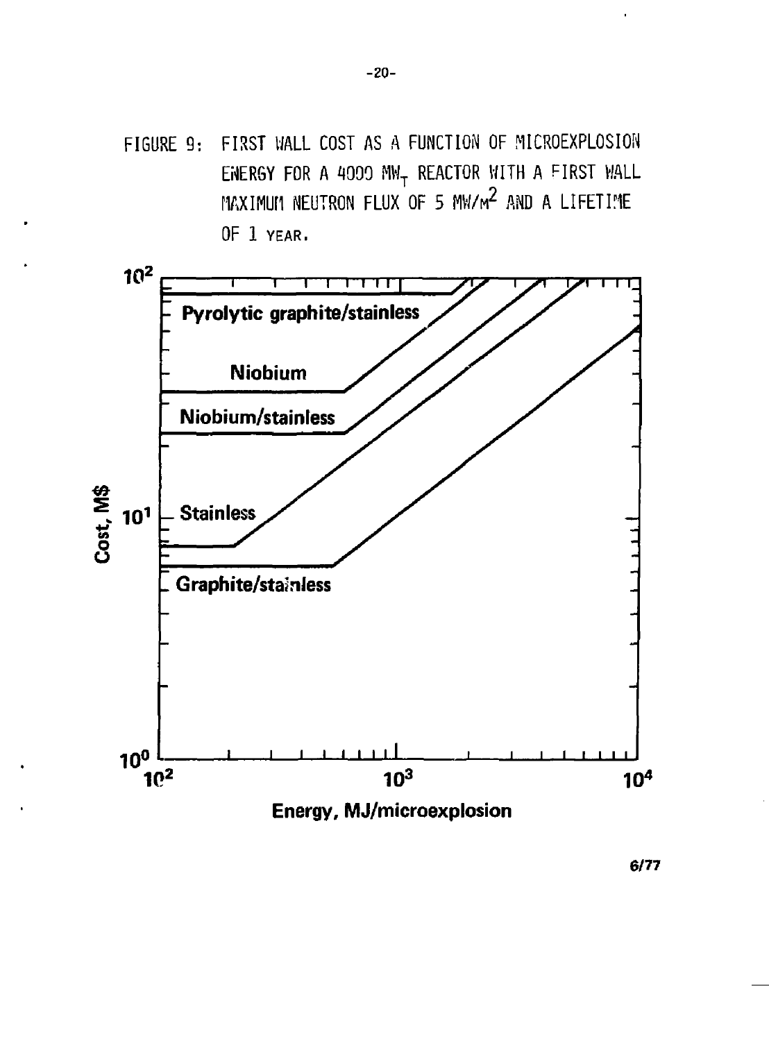FIGURE 9: FIRST WALL COST AS A FUNCTION OF MICROEXPLOSION ENERGY FOR A 4000 MW<sub>T</sub> REACTOR WITH A FIRST WALL MAXIMUM NEUTRON FLUX OF 5 MW/ $M^2$  and a lifetime OF 1 YEAR.



 $6/77$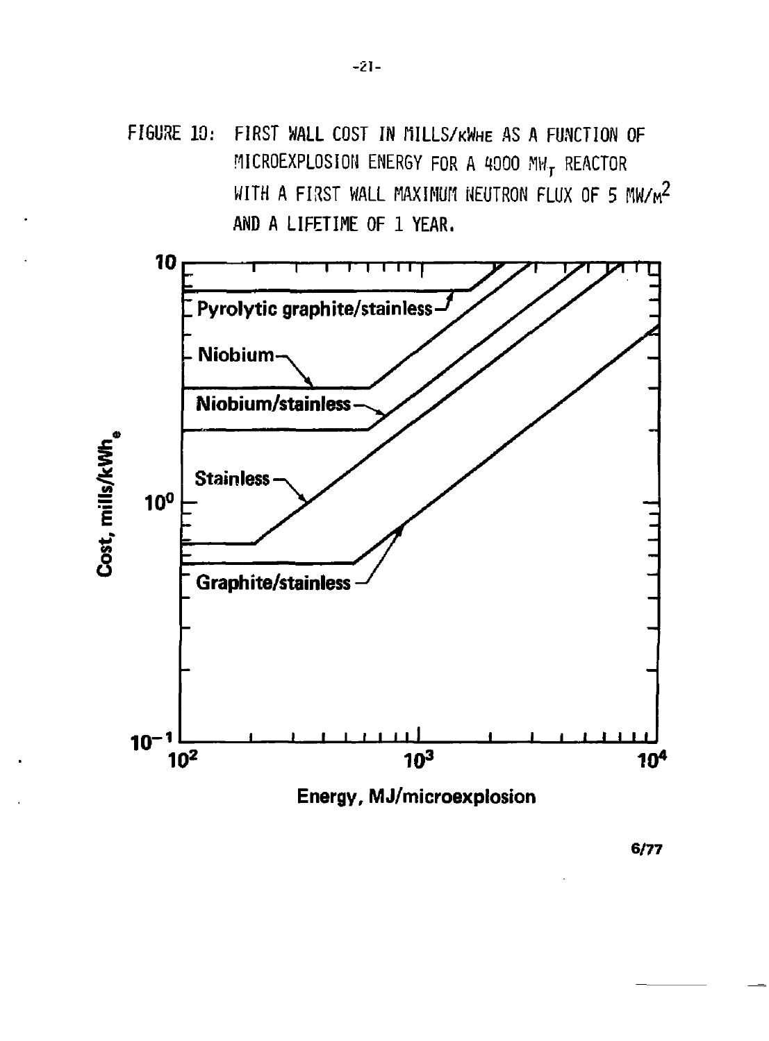FIGURE 10: FIRST WALL COST IN MILLS/KWHE AS A FUNCTION OF MICROEXPLOSION ENERGY FOR A 4000 MW<sub>T</sub> REACTOR WITH A FIRST WALL MAXIMUM NEUTRON FLUX OF 5 MW/ $M^2$ AND A LIFETIME OF 1 YEAR.



**6/77**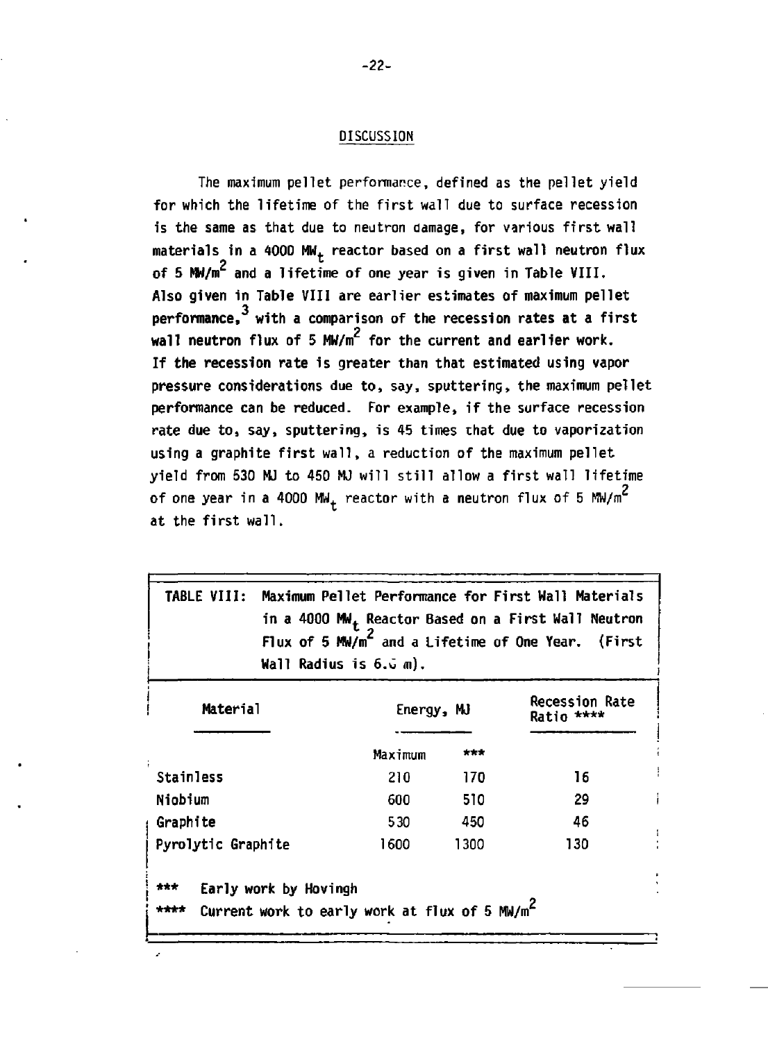#### **DISCUSSION**

**The maximum pellet performance, defined as the pellet yield for which the lifetime of the first wall due to surface recession is the same as that due to neutron damage, for various first wall**  materials in a 4000 MW<sub>t</sub> reactor based on a first wall neutron flux of 5 MW/m<sup>2</sup> and a lifetime of one year is given in Table VIII. **Also given in Table VIII are earlier estimates of maximum pellet**  perfo**rmance,<sup>3</sup> with a comp**arison of the recession rates at a first **wall neutron** flux of 5 MW/m<sup>2</sup> for the current and earlier work. **If the recession rate is greater than that estimated using vapor pressure considerations due to, say, sputtering, the maximum pellet performance can be reduced. For example, if the surface recession rate due to, say, sputtering, is 45 times that due to vaporization using a graphite first wall, a reduction of the maximum pellet yield from 530 MJ to 450 MJ will still allow a first wall lifetime**  of one year in a 4000 MW<sub>+</sub> reactor with a neutron flux of 5 MW/m<sup>2</sup> **at the first wall.** 

| Maximum Pellet Performance for First Wall Materials<br><b>TABLE VIII:</b><br>in a 4000 MM <sub>+</sub> Reactor Based on a First Wall Neutron<br>Flux of 5 MW/m <sup>2</sup> and a Lifetime of One Year. (First<br>Wall Radius is 6.ū m). |            |      |                                     |  |  |  |
|------------------------------------------------------------------------------------------------------------------------------------------------------------------------------------------------------------------------------------------|------------|------|-------------------------------------|--|--|--|
| Material                                                                                                                                                                                                                                 | Energy, MJ |      | <b>Recession Rate</b><br>Ratio **** |  |  |  |
|                                                                                                                                                                                                                                          | Maximum    | ***  |                                     |  |  |  |
| <b>Stainless</b>                                                                                                                                                                                                                         | 210        | 170  | 16                                  |  |  |  |
| Niobium                                                                                                                                                                                                                                  | 600        | 510  | 29                                  |  |  |  |
| Graphite                                                                                                                                                                                                                                 | 530        | 450  | 46                                  |  |  |  |
| Pyrolytic Graphite                                                                                                                                                                                                                       | 1600       | 1300 | 130                                 |  |  |  |
| ***<br>Early work by Hovingh<br>Current work to early work at flux of 5 MW/m <sup>2</sup><br>****                                                                                                                                        |            |      |                                     |  |  |  |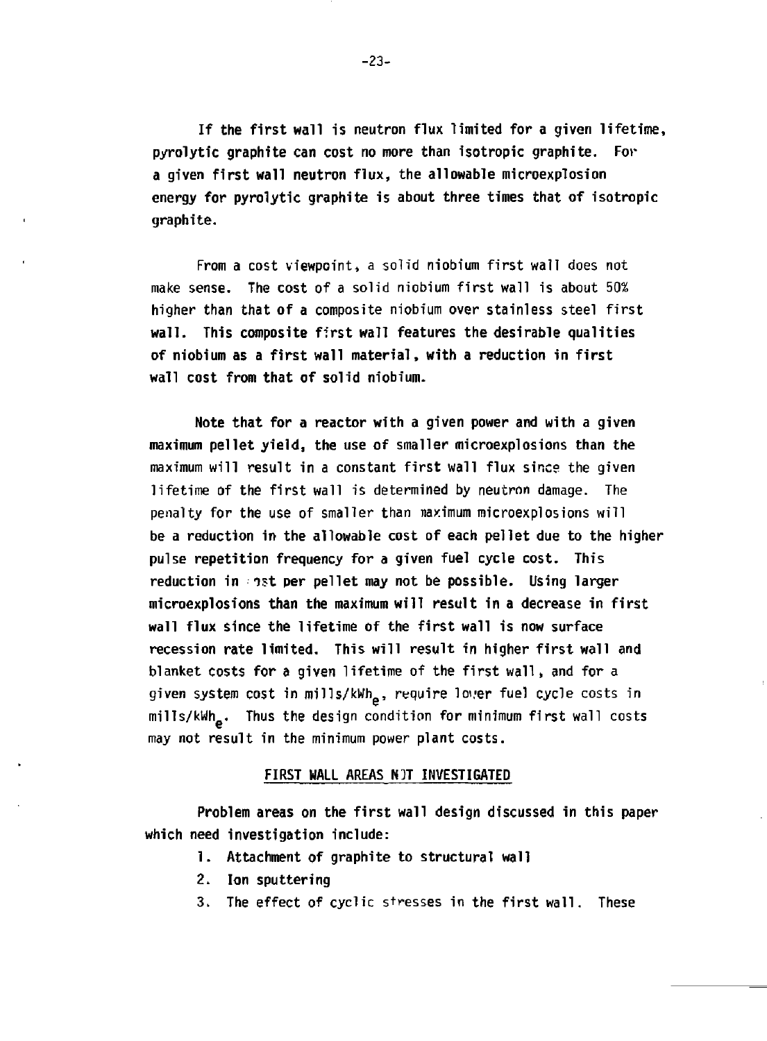**If the first wall is neutron flux limited for a given lifetime, pyrolytic graphite can cost no more than isotropic graphite. For a given first wall neutron flux, the allowable microexplosion energy for pyrolytic graphite is about three times that of isotropic graphite.** 

**From a cost viewpoint, a solid niobium first wall does not make sense. The cost of a solid niobium first wall is about 50% higher than that of a composite niobium over stainless steel first wall. This composite first wall features the desirable qualities of niobium as a first wall material, with a reduction in first wall cost from that of solid niobium.** 

**Note that for a reactor with a given power and with a given maximum pellet yield, the use of smaller microexplosions than the maximum will result in a constant first wall flux since the given lifetime of the first wall is determined by neutron damage. The penalty for the use of smaller than naximum microexplosions will be a reduction in the allowable cost of each pellet due to the higher pulse repetition frequency for a given fuel cycle cost. This reduction in ist per pellet may not be possible. Using larger microexplosions than the maximum will result in a decrease in first wall flux since the lifetime of the first wall is now surface recession rate limited. This will result in higher first wall and blanket costs for a given lifetime of the first wall, and for a**  given system cost in mills/kWh<sub>o</sub>, require lover fuel cycle costs in **mills/kWh , Thus the design condition for minimum first wall costs may not result in the minimum power plant costs.** 

#### **FIRST WALL AREAS W]T INVESTIGATED**

**Problem areas on the first wall design discussed in this paper which need investigation include:** 

- **1. Attachment of graphite to structural wall**
- **2. Ion sputtering**
- **3. The effect of cyclic stresses in the first wall. These**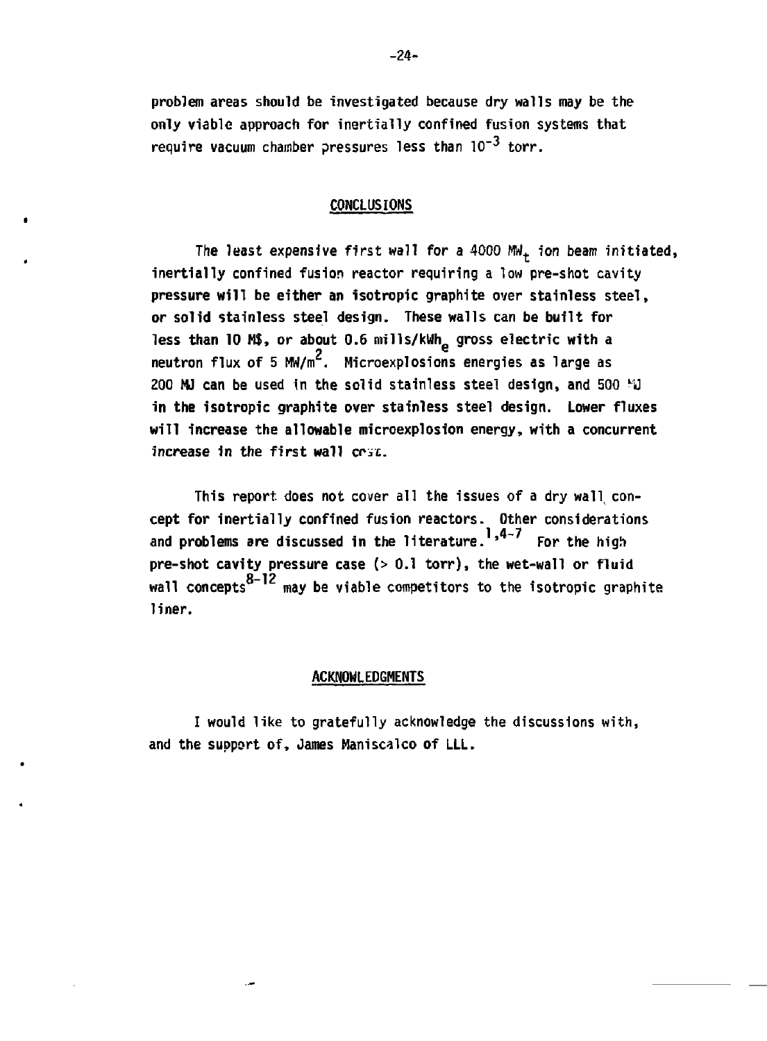**problem areas should be investigated because dry walls may be the only viable approach for inertially confined fusion systems that require vacuum chamber pressures less than 10"<sup>3</sup> torr.** 

# **CONCLUSIONS**

**The least expensive first wall for a 4000 MWt ion beam initiated, inertially confined fusion reactor requiring a low pre-shot cavity pressure will be either an isotropic graphite over stainless steel, or solid stainless steel design. These walls can be built for**  less than 10 M\$, or about 0.6 mills/kWh<sub>e</sub> gross electric with a neutron flux of 5 MW/m<sup>2</sup>. Microexplosions energies as large as **200 MJ can be used in the solid stainless steel design, and 500 'U in the isotropic graphite over stainless steel design. Lower fluxes will increase the allowable microexpiosion energy, with a concurrent increase in the first wall** *ecu.* 

**This report, does not cover all the issues of a dry wall, concept for inertially confined fusion reactors. Other considerations**  and problems are discussed in the literature.<sup>1,4-7</sup> For the high **pre-shot cavity pressure case (> 0.1 torr), the wet-wall or fluid 8—12 wall concepts may be viable competitors to the isotropic graphite liner.** 

#### **ACKNOWLEDGMENTS**

**I would like to gratefully acknowledge the discussions with, and the support of, James Maniscalco of LLL.**